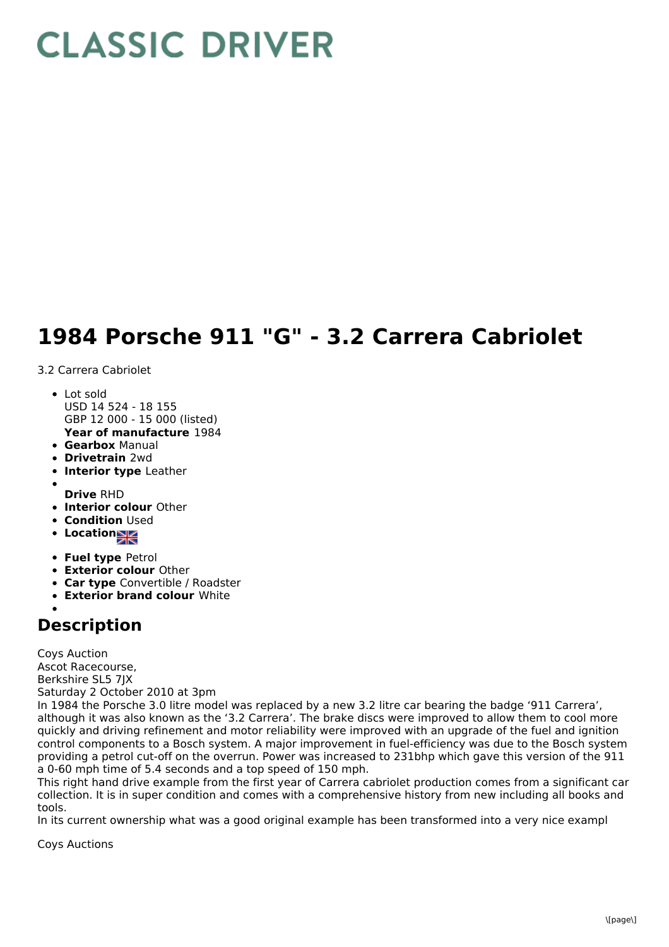## **CLASSIC DRIVER**

## **1984 Porsche 911 "G" - 3.2 Carrera Cabriolet**

3.2 Carrera Cabriolet

- Lot sold USD 14 524 - 18 155 GBP 12 000 - 15 000 (listed)
- **Year of manufacture** 1984
- **Gearbox** Manual
- **Drivetrain** 2wd
- **Interior type** Leather
- 
- **Drive** RHD **Interior colour** Other
- **Condition Used**
- **Location**
- **Fuel type** Petrol
- **Exterior colour** Other
- **Car type** Convertible / Roadster
- **Exterior brand colour** White

## **Description**

Coys Auction Ascot Racecourse, Berkshire SL5 7JX Saturday 2 October 2010 at 3pm

In 1984 the Porsche 3.0 litre model was replaced by a new 3.2 litre car bearing the badge '911 Carrera', although it was also known as the '3.2 Carrera'. The brake discs were improved to allow them to cool more quickly and driving refinement and motor reliability were improved with an upgrade of the fuel and ignition control components to a Bosch system. A major improvement in fuel-efficiency was due to the Bosch system providing a petrol cut-off on the overrun. Power was increased to 231bhp which gave this version of the 911 a 0-60 mph time of 5.4 seconds and a top speed of 150 mph.

This right hand drive example from the first year of Carrera cabriolet production comes from a significant car collection. It is in super condition and comes with a comprehensive history from new including all books and tools.

In its current ownership what was a good original example has been transformed into a very nice exampl

Coys Auctions